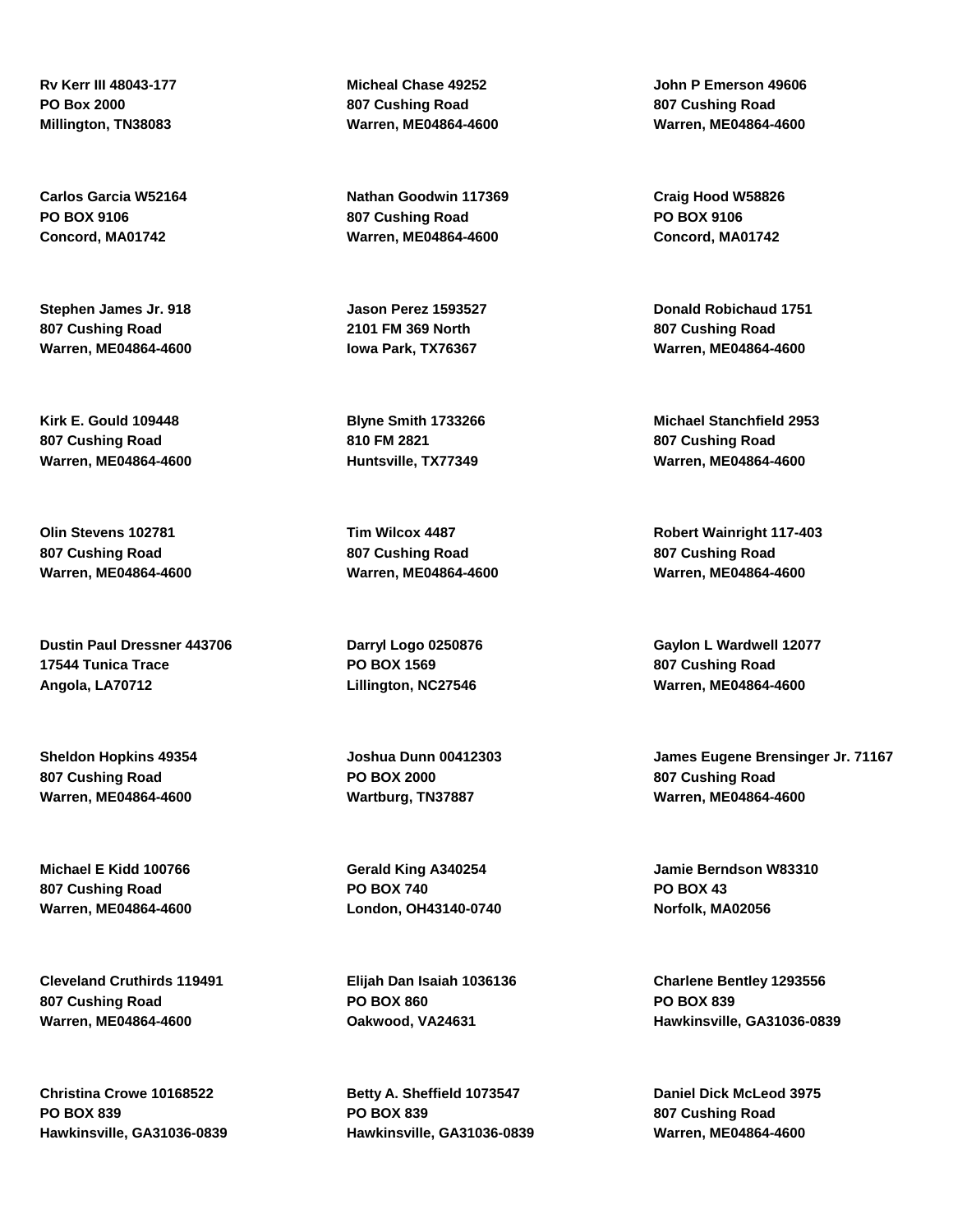**Rv Kerr III 48043-177 PO Box 2000 Millington, TN38083**

**Carlos Garcia W52164 PO BOX 9106 Concord, MA01742**

**Stephen James Jr. 918 807 Cushing Road Warren, ME04864-4600**

**Kirk E. Gould 109448 807 Cushing Road Warren, ME04864-4600**

**Olin Stevens 102781 807 Cushing Road Warren, ME04864-4600**

**Dustin Paul Dressner 443706 17544 Tunica Trace Angola, LA70712**

**Sheldon Hopkins 49354 807 Cushing Road Warren, ME04864-4600**

**Michael E Kidd 100766 807 Cushing Road Warren, ME04864-4600**

**Cleveland Cruthirds 119491 807 Cushing Road Warren, ME04864-4600**

**Christina Crowe 10168522 PO BOX 839 Hawkinsville, GA31036-0839** **Micheal Chase 49252 807 Cushing Road Warren, ME04864-4600**

**Nathan Goodwin 117369 807 Cushing Road Warren, ME04864-4600**

**Jason Perez 1593527 2101 FM 369 North Iowa Park, TX76367**

**Blyne Smith 1733266 810 FM 2821 Huntsville, TX77349**

**Tim Wilcox 4487 807 Cushing Road Warren, ME04864-4600**

**Darryl Logo 0250876 PO BOX 1569 Lillington, NC27546**

**Joshua Dunn 00412303 PO BOX 2000 Wartburg, TN37887**

**Gerald King A340254 PO BOX 740 London, OH43140-0740**

**Elijah Dan Isaiah 1036136 PO BOX 860 Oakwood, VA24631**

**Betty A. Sheffield 1073547 PO BOX 839 Hawkinsville, GA31036-0839**

**John P Emerson 49606 807 Cushing Road Warren, ME04864-4600**

**Craig Hood W58826 PO BOX 9106 Concord, MA01742**

**Donald Robichaud 1751 807 Cushing Road Warren, ME04864-4600**

**Michael Stanchfield 2953 807 Cushing Road Warren, ME04864-4600**

**Robert Wainright 117-403 807 Cushing Road Warren, ME04864-4600**

**Gaylon L Wardwell 12077 807 Cushing Road Warren, ME04864-4600**

**James Eugene Brensinger Jr. 71167 807 Cushing Road Warren, ME04864-4600**

**Jamie Berndson W83310 PO BOX 43 Norfolk, MA02056**

**Charlene Bentley 1293556 PO BOX 839 Hawkinsville, GA31036-0839**

**Daniel Dick McLeod 3975 807 Cushing Road Warren, ME04864-4600**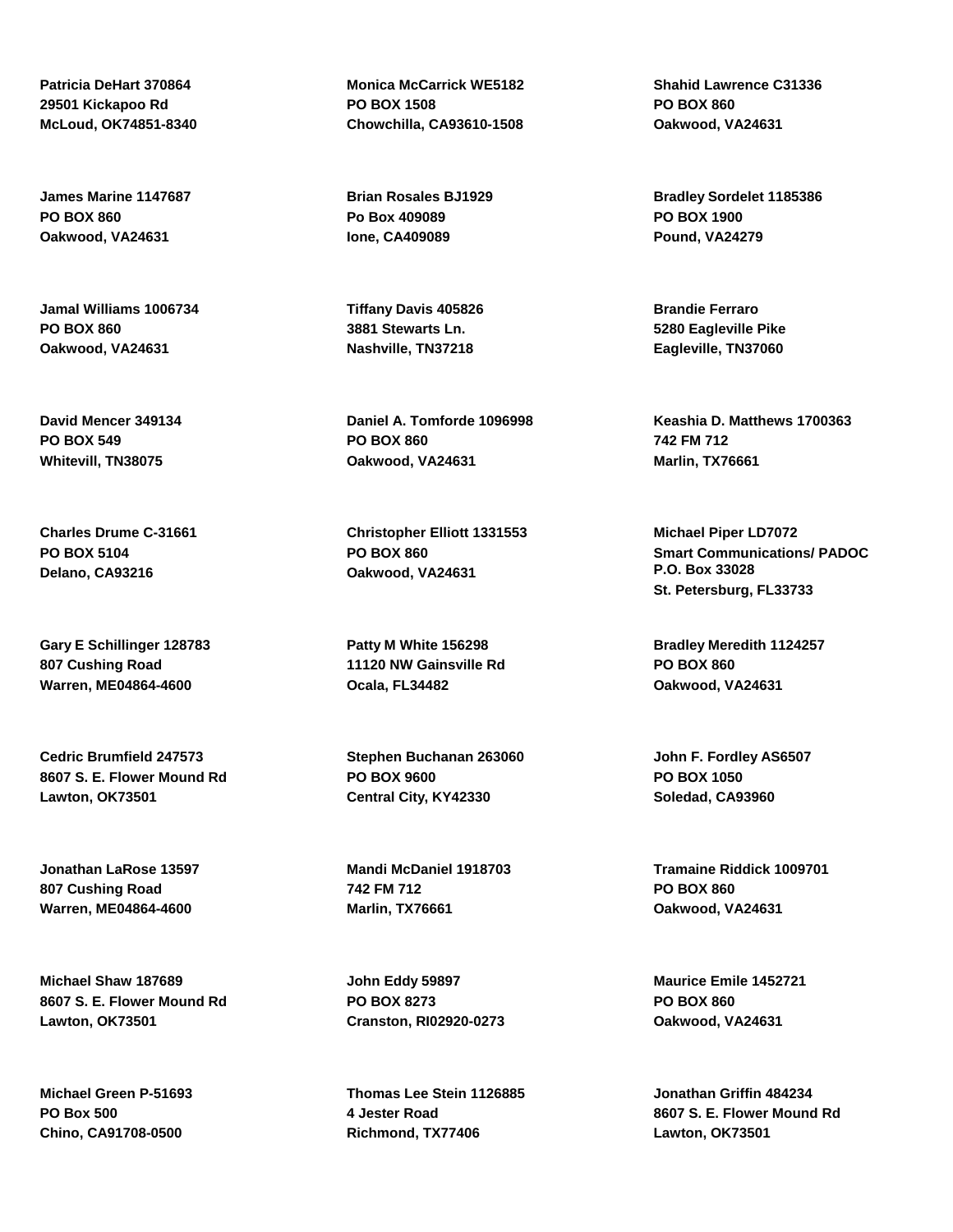**Patricia DeHart 370864 29501 Kickapoo Rd McLoud, OK74851-8340**

**James Marine 1147687 PO BOX 860 Oakwood, VA24631**

**Jamal Williams 1006734 PO BOX 860 Oakwood, VA24631**

**David Mencer 349134 PO BOX 549 Whitevill, TN38075**

**Charles Drume C-31661 PO BOX 5104 Delano, CA93216**

**Gary E Schillinger 128783 807 Cushing Road Warren, ME04864-4600**

**Cedric Brumfield 247573 8607 S. E. Flower Mound Rd Lawton, OK73501**

**Jonathan LaRose 13597 807 Cushing Road Warren, ME04864-4600**

**Michael Shaw 187689 8607 S. E. Flower Mound Rd Lawton, OK73501**

**Michael Green P-51693 PO Box 500 Chino, CA91708-0500**

**Monica McCarrick WE5182 PO BOX 1508 Chowchilla, CA93610-1508**

**Brian Rosales BJ1929 Po Box 409089 Ione, CA409089**

**Tiffany Davis 405826 3881 Stewarts Ln. Nashville, TN37218**

**Daniel A. Tomforde 1096998 PO BOX 860 Oakwood, VA24631**

**Christopher Elliott 1331553 PO BOX 860 Oakwood, VA24631**

**Patty M White 156298 11120 NW Gainsville Rd Ocala, FL34482**

**Stephen Buchanan 263060 PO BOX 9600 Central City, KY42330**

**Mandi McDaniel 1918703 742 FM 712 Marlin, TX76661**

**John Eddy 59897 PO BOX 8273 Cranston, RI02920-0273**

**Thomas Lee Stein 1126885 4 Jester Road Richmond, TX77406**

**Shahid Lawrence C31336 PO BOX 860 Oakwood, VA24631**

**Bradley Sordelet 1185386 PO BOX 1900 Pound, VA24279**

**Brandie Ferraro 5280 Eagleville Pike Eagleville, TN37060**

**Keashia D. Matthews 1700363 742 FM 712 Marlin, TX76661**

**Michael Piper LD7072 Smart Communications/ PADOC P.O. Box 33028 St. Petersburg, FL33733**

**Bradley Meredith 1124257 PO BOX 860 Oakwood, VA24631**

**John F. Fordley AS6507 PO BOX 1050 Soledad, CA93960**

**Tramaine Riddick 1009701 PO BOX 860 Oakwood, VA24631**

**Maurice Emile 1452721 PO BOX 860 Oakwood, VA24631**

**Jonathan Griffin 484234 8607 S. E. Flower Mound Rd Lawton, OK73501**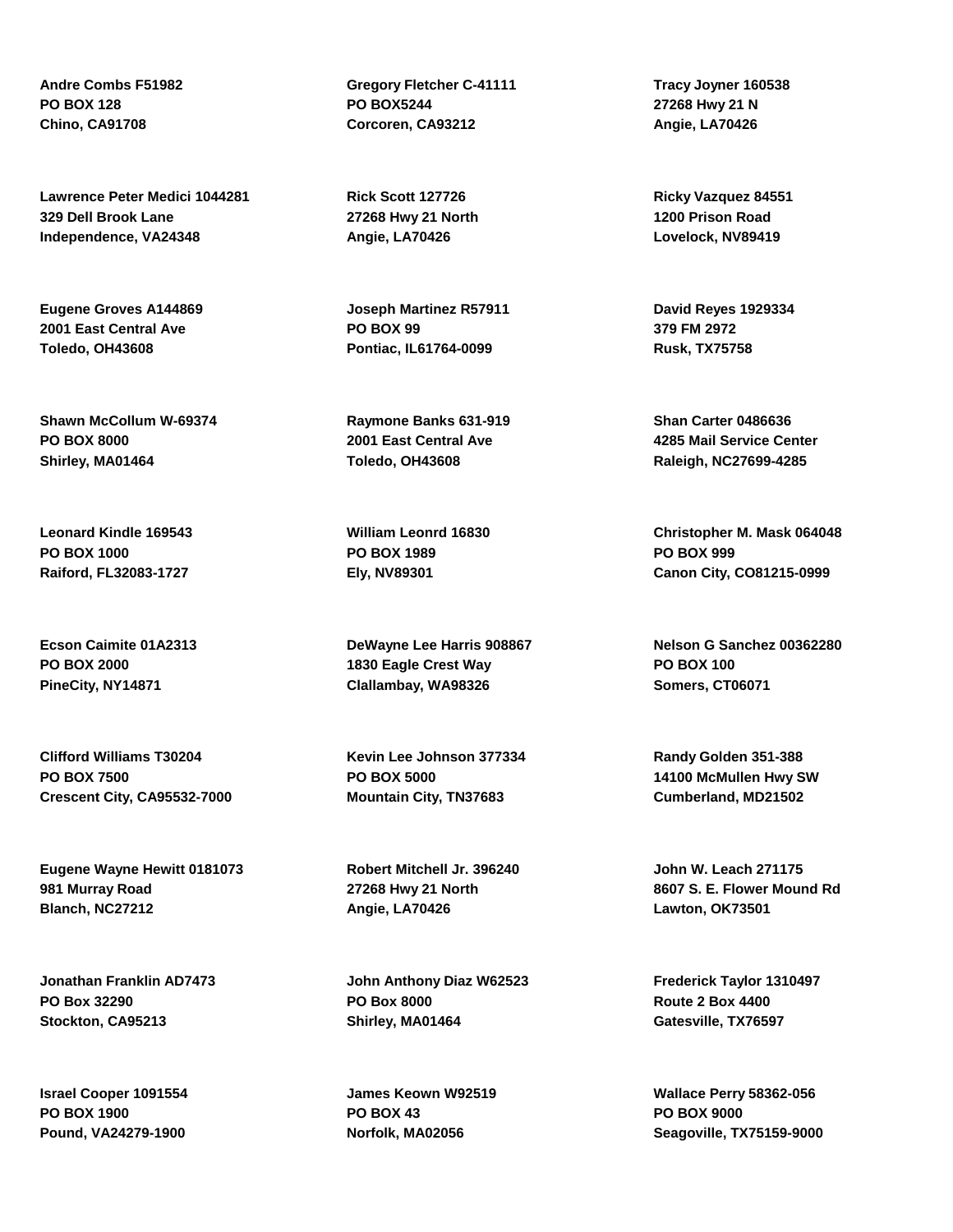**Andre Combs F51982 PO BOX 128 Chino, CA91708**

**Lawrence Peter Medici 1044281 329 Dell Brook Lane Independence, VA24348**

**Eugene Groves A144869 2001 East Central Ave Toledo, OH43608**

**Shawn McCollum W-69374 PO BOX 8000 Shirley, MA01464**

**Leonard Kindle 169543 PO BOX 1000 Raiford, FL32083-1727**

**Ecson Caimite 01A2313 PO BOX 2000 PineCity, NY14871**

**Clifford Williams T30204 PO BOX 7500 Crescent City, CA95532-7000**

**Eugene Wayne Hewitt 0181073 981 Murray Road Blanch, NC27212**

**Jonathan Franklin AD7473 PO Box 32290 Stockton, CA95213**

**Israel Cooper 1091554 PO BOX 1900 Pound, VA24279-1900**

**Gregory Fletcher C-41111 PO BOX5244 Corcoren, CA93212**

**Rick Scott 127726 27268 Hwy 21 North Angie, LA70426**

**Joseph Martinez R57911 PO BOX 99 Pontiac, IL61764-0099**

**Raymone Banks 631-919 2001 East Central Ave Toledo, OH43608**

**William Leonrd 16830 PO BOX 1989 Ely, NV89301**

**DeWayne Lee Harris 908867 1830 Eagle Crest Way Clallambay, WA98326**

**Kevin Lee Johnson 377334 PO BOX 5000 Mountain City, TN37683**

**Robert Mitchell Jr. 396240 27268 Hwy 21 North Angie, LA70426**

**John Anthony Diaz W62523 PO Box 8000 Shirley, MA01464**

**James Keown W92519 PO BOX 43 Norfolk, MA02056**

**Tracy Joyner 160538 27268 Hwy 21 N Angie, LA70426**

**Ricky Vazquez 84551 1200 Prison Road Lovelock, NV89419**

**David Reyes 1929334 379 FM 2972 Rusk, TX75758**

**Shan Carter 0486636 4285 Mail Service Center Raleigh, NC27699-4285**

**Christopher M. Mask 064048 PO BOX 999 Canon City, CO81215-0999**

**Nelson G Sanchez 00362280 PO BOX 100 Somers, CT06071**

**Randy Golden 351-388 14100 McMullen Hwy SW Cumberland, MD21502**

**John W. Leach 271175 8607 S. E. Flower Mound Rd Lawton, OK73501**

**Frederick Taylor 1310497 Route 2 Box 4400 Gatesville, TX76597**

**Wallace Perry 58362-056 PO BOX 9000 Seagoville, TX75159-9000**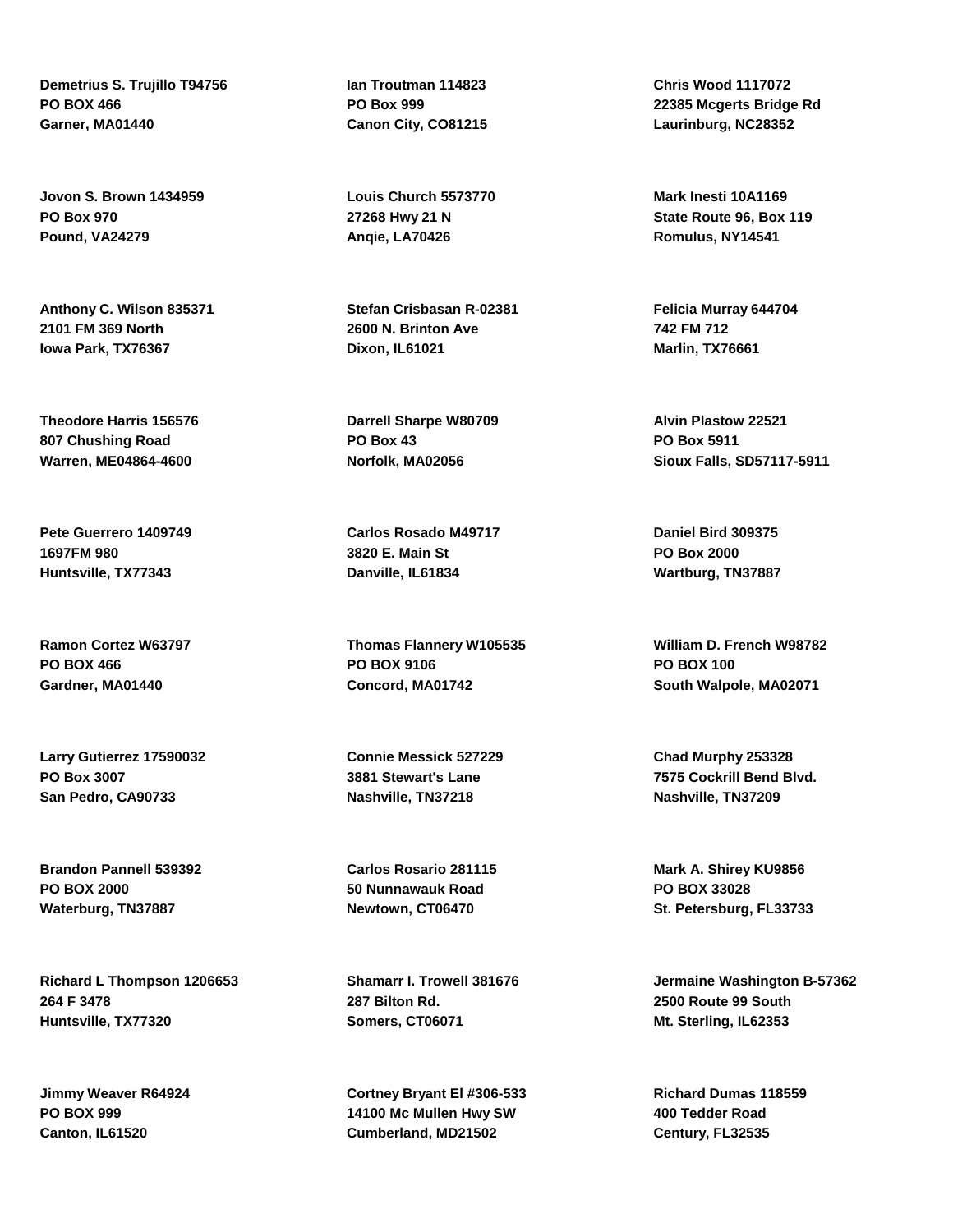**Demetrius S. Trujillo T94756 PO BOX 466 Garner, MA01440**

**Jovon S. Brown 1434959 PO Box 970 Pound, VA24279**

**Anthony C. Wilson 835371 2101 FM 369 North Iowa Park, TX76367**

**Theodore Harris 156576 807 Chushing Road Warren, ME04864-4600**

**Pete Guerrero 1409749 1697FM 980 Huntsville, TX77343**

**Ramon Cortez W63797 PO BOX 466 Gardner, MA01440**

**Larry Gutierrez 17590032 PO Box 3007 San Pedro, CA90733**

**Brandon Pannell 539392 PO BOX 2000 Waterburg, TN37887**

**Richard L Thompson 1206653 264 F 3478 Huntsville, TX77320**

**Jimmy Weaver R64924 PO BOX 999 Canton, IL61520**

**Ian Troutman 114823 PO Box 999 Canon City, CO81215**

**Louis Church 5573770 27268 Hwy 21 N Anqie, LA70426**

**Stefan Crisbasan R-02381 2600 N. Brinton Ave Dixon, IL61021**

**Darrell Sharpe W80709 PO Box 43 Norfolk, MA02056**

**Carlos Rosado M49717 3820 E. Main St Danville, IL61834**

**Thomas Flannery W105535 PO BOX 9106 Concord, MA01742**

**Connie Messick 527229 3881 Stewart's Lane Nashville, TN37218**

**Carlos Rosario 281115 50 Nunnawauk Road Newtown, CT06470**

**Shamarr I. Trowell 381676 287 Bilton Rd. Somers, CT06071**

**Cortney Bryant El #306-533 14100 Mc Mullen Hwy SW Cumberland, MD21502**

**Chris Wood 1117072 22385 Mcgerts Bridge Rd Laurinburg, NC28352**

**Mark Inesti 10A1169 State Route 96, Box 119 Romulus, NY14541**

**Felicia Murray 644704 742 FM 712 Marlin, TX76661**

**Alvin Plastow 22521 PO Box 5911 Sioux Falls, SD57117-5911**

**Daniel Bird 309375 PO Box 2000 Wartburg, TN37887**

**William D. French W98782 PO BOX 100 South Walpole, MA02071**

**Chad Murphy 253328 7575 Cockrill Bend Blvd. Nashville, TN37209**

**Mark A. Shirey KU9856 PO BOX 33028 St. Petersburg, FL33733**

**Jermaine Washington B-57362 2500 Route 99 South Mt. Sterling, IL62353**

**Richard Dumas 118559 400 Tedder Road Century, FL32535**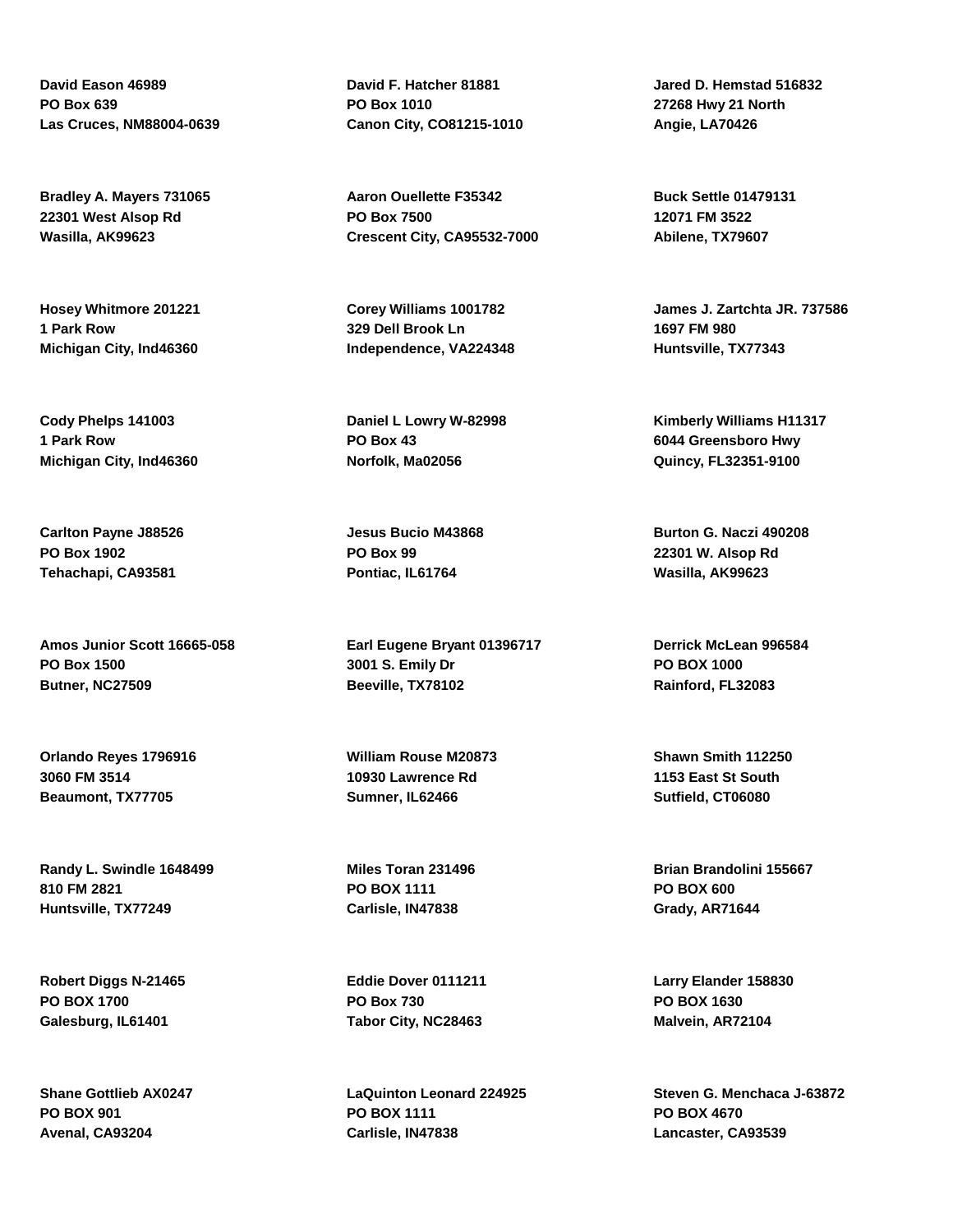**David Eason 46989 PO Box 639 Las Cruces, NM88004-0639**

**Bradley A. Mayers 731065 22301 West Alsop Rd Wasilla, AK99623**

**Hosey Whitmore 201221 1 Park Row Michigan City, Ind46360**

**Cody Phelps 141003 1 Park Row Michigan City, Ind46360**

**Carlton Payne J88526 PO Box 1902 Tehachapi, CA93581**

**Amos Junior Scott 16665-058 PO Box 1500 Butner, NC27509**

**Orlando Reyes 1796916 3060 FM 3514 Beaumont, TX77705**

**Randy L. Swindle 1648499 810 FM 2821 Huntsville, TX77249**

**Robert Diggs N-21465 PO BOX 1700 Galesburg, IL61401**

**Shane Gottlieb AX0247 PO BOX 901 Avenal, CA93204**

**David F. Hatcher 81881 PO Box 1010 Canon City, CO81215-1010**

**Aaron Ouellette F35342 PO Box 7500 Crescent City, CA95532-7000**

**Corey Williams 1001782 329 Dell Brook Ln Independence, VA224348**

**Daniel L Lowry W-82998 PO Box 43 Norfolk, Ma02056**

**Jesus Bucio M43868 PO Box 99 Pontiac, IL61764**

**Earl Eugene Bryant 01396717 3001 S. Emily Dr Beeville, TX78102**

**William Rouse M20873 10930 Lawrence Rd Sumner, IL62466**

**Miles Toran 231496 PO BOX 1111 Carlisle, IN47838**

**Eddie Dover 0111211 PO Box 730 Tabor City, NC28463**

**LaQuinton Leonard 224925 PO BOX 1111 Carlisle, IN47838**

**Jared D. Hemstad 516832 27268 Hwy 21 North Angie, LA70426**

**Buck Settle 01479131 12071 FM 3522 Abilene, TX79607**

**James J. Zartchta JR. 737586 1697 FM 980 Huntsville, TX77343**

**Kimberly Williams H11317 6044 Greensboro Hwy Quincy, FL32351-9100**

**Burton G. Naczi 490208 22301 W. Alsop Rd Wasilla, AK99623**

**Derrick McLean 996584 PO BOX 1000 Rainford, FL32083**

**Shawn Smith 112250 1153 East St South Sutfield, CT06080**

**Brian Brandolini 155667 PO BOX 600 Grady, AR71644**

**Larry Elander 158830 PO BOX 1630 Malvein, AR72104**

**Steven G. Menchaca J-63872 PO BOX 4670 Lancaster, CA93539**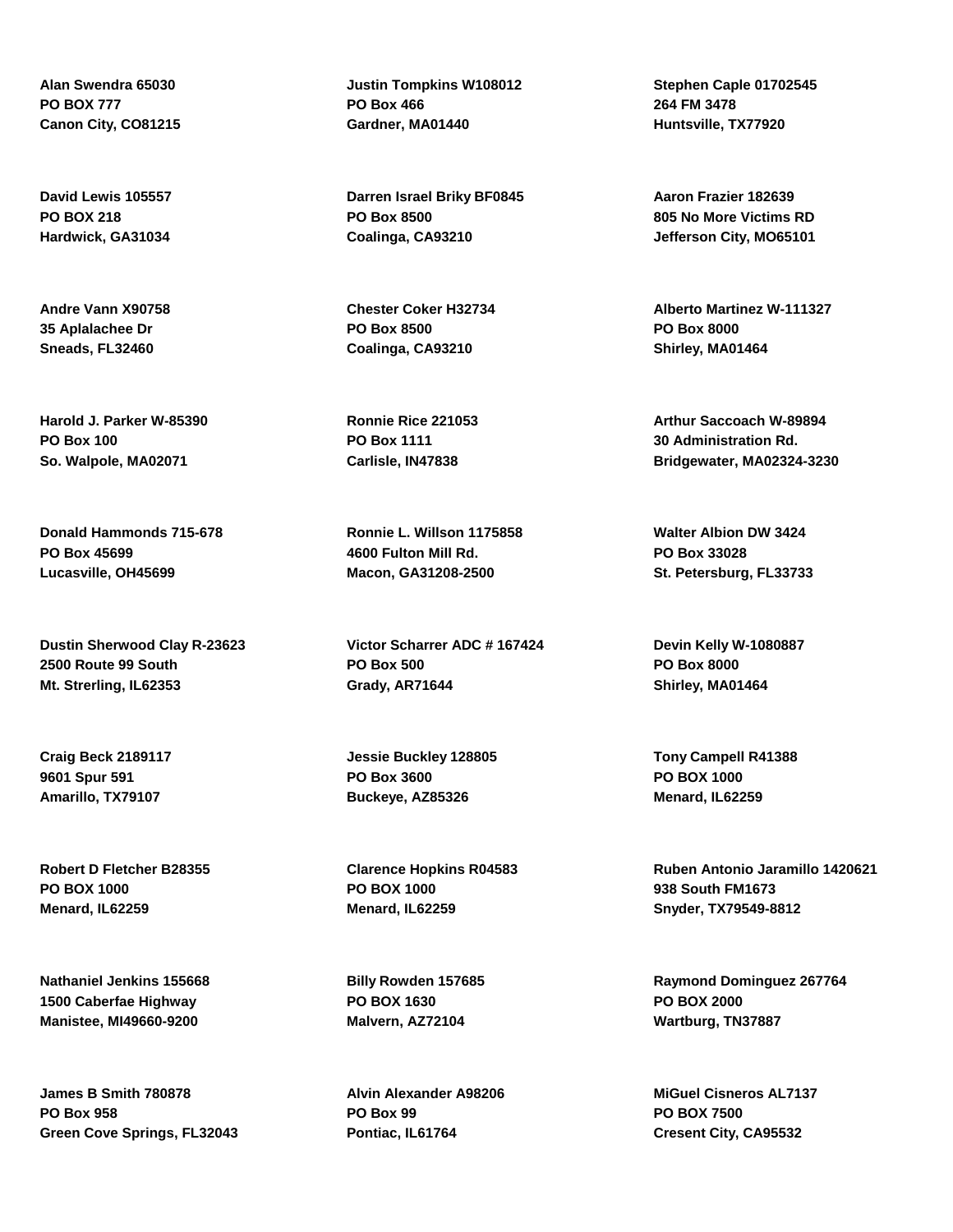**Alan Swendra 65030 PO BOX 777 Canon City, CO81215**

**David Lewis 105557 PO BOX 218 Hardwick, GA31034**

**Andre Vann X90758 35 Aplalachee Dr Sneads, FL32460**

**Harold J. Parker W-85390 PO Box 100 So. Walpole, MA02071**

**Donald Hammonds 715-678 PO Box 45699 Lucasville, OH45699**

**Dustin Sherwood Clay R-23623 2500 Route 99 South Mt. Strerling, IL62353**

**Craig Beck 2189117 9601 Spur 591 Amarillo, TX79107**

**Robert D Fletcher B28355 PO BOX 1000 Menard, IL62259**

**Nathaniel Jenkins 155668 1500 Caberfae Highway Manistee, MI49660-9200**

**James B Smith 780878 PO Box 958 Green Cove Springs, FL32043** **Justin Tompkins W108012 PO Box 466 Gardner, MA01440**

**Darren Israel Briky BF0845 PO Box 8500 Coalinga, CA93210**

**Chester Coker H32734 PO Box 8500 Coalinga, CA93210**

**Ronnie Rice 221053 PO Box 1111 Carlisle, IN47838**

**Ronnie L. Willson 1175858 4600 Fulton Mill Rd. Macon, GA31208-2500**

**Victor Scharrer ADC # 167424 PO Box 500 Grady, AR71644**

**Jessie Buckley 128805 PO Box 3600 Buckeye, AZ85326**

**Clarence Hopkins R04583 PO BOX 1000 Menard, IL62259**

**Billy Rowden 157685 PO BOX 1630 Malvern, AZ72104**

**Alvin Alexander A98206 PO Box 99 Pontiac, IL61764**

**Stephen Caple 01702545 264 FM 3478 Huntsville, TX77920**

**Aaron Frazier 182639 805 No More Victims RD Jefferson City, MO65101**

**Alberto Martinez W-111327 PO Box 8000 Shirley, MA01464**

**Arthur Saccoach W-89894 30 Administration Rd. Bridgewater, MA02324-3230**

**Walter Albion DW 3424 PO Box 33028 St. Petersburg, FL33733**

**Devin Kelly W-1080887 PO Box 8000 Shirley, MA01464**

**Tony Campell R41388 PO BOX 1000 Menard, IL62259**

**Ruben Antonio Jaramillo 1420621 938 South FM1673 Snyder, TX79549-8812**

**Raymond Dominguez 267764 PO BOX 2000 Wartburg, TN37887**

**MiGuel Cisneros AL7137 PO BOX 7500 Cresent City, CA95532**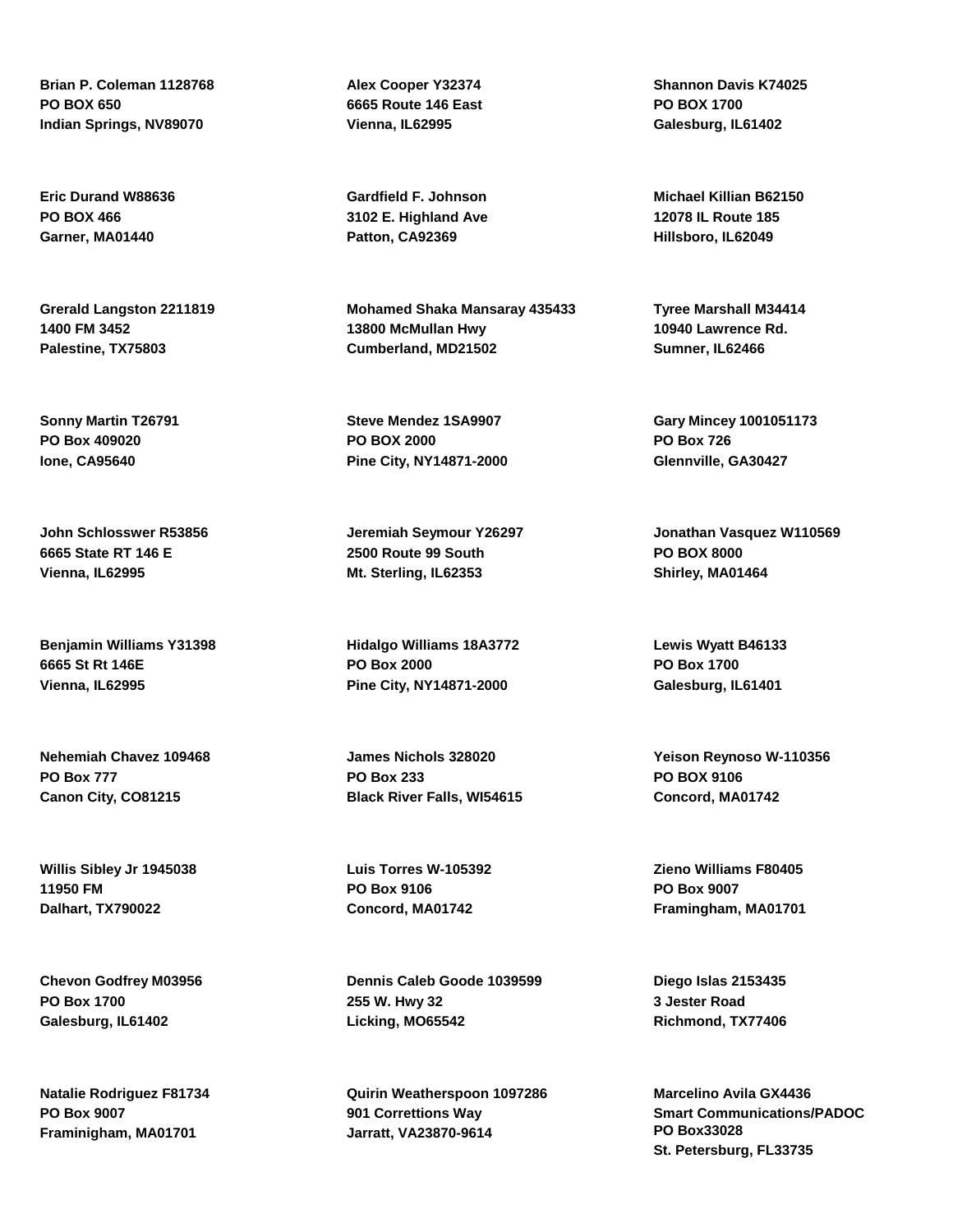**Brian P. Coleman 1128768 PO BOX 650 Indian Springs, NV89070**

**Eric Durand W88636 PO BOX 466 Garner, MA01440**

**Grerald Langston 2211819 1400 FM 3452 Palestine, TX75803**

**Sonny Martin T26791 PO Box 409020 Ione, CA95640**

**John Schlosswer R53856 6665 State RT 146 E Vienna, IL62995**

**Benjamin Williams Y31398 6665 St Rt 146E Vienna, IL62995**

**Nehemiah Chavez 109468 PO Box 777 Canon City, CO81215**

**Willis Sibley Jr 1945038 11950 FM Dalhart, TX790022**

**Chevon Godfrey M03956 PO Box 1700 Galesburg, IL61402**

**Natalie Rodriguez F81734 PO Box 9007 Framinigham, MA01701**

**Alex Cooper Y32374 6665 Route 146 East Vienna, IL62995**

**Gardfield F. Johnson 3102 E. Highland Ave Patton, CA92369**

**Mohamed Shaka Mansaray 435433 13800 McMullan Hwy Cumberland, MD21502**

**Steve Mendez 1SA9907 PO BOX 2000 Pine City, NY14871-2000**

**Jeremiah Seymour Y26297 2500 Route 99 South Mt. Sterling, IL62353**

**Hidalgo Williams 18A3772 PO Box 2000 Pine City, NY14871-2000**

**James Nichols 328020 PO Box 233 Black River Falls, WI54615**

**Luis Torres W-105392 PO Box 9106 Concord, MA01742**

**Dennis Caleb Goode 1039599 255 W. Hwy 32 Licking, MO65542**

**Quirin Weatherspoon 1097286 901 Correttions Way Jarratt, VA23870-9614**

**Shannon Davis K74025 PO BOX 1700 Galesburg, IL61402**

**Michael Killian B62150 12078 IL Route 185 Hillsboro, IL62049**

**Tyree Marshall M34414 10940 Lawrence Rd. Sumner, IL62466**

**Gary Mincey 1001051173 PO Box 726 Glennville, GA30427**

**Jonathan Vasquez W110569 PO BOX 8000 Shirley, MA01464**

**Lewis Wyatt B46133 PO Box 1700 Galesburg, IL61401**

**Yeison Reynoso W-110356 PO BOX 9106 Concord, MA01742**

**Zieno Williams F80405 PO Box 9007 Framingham, MA01701**

**Diego Islas 2153435 3 Jester Road Richmond, TX77406**

**Marcelino Avila GX4436 Smart Communications/PADOC PO Box33028 St. Petersburg, FL33735**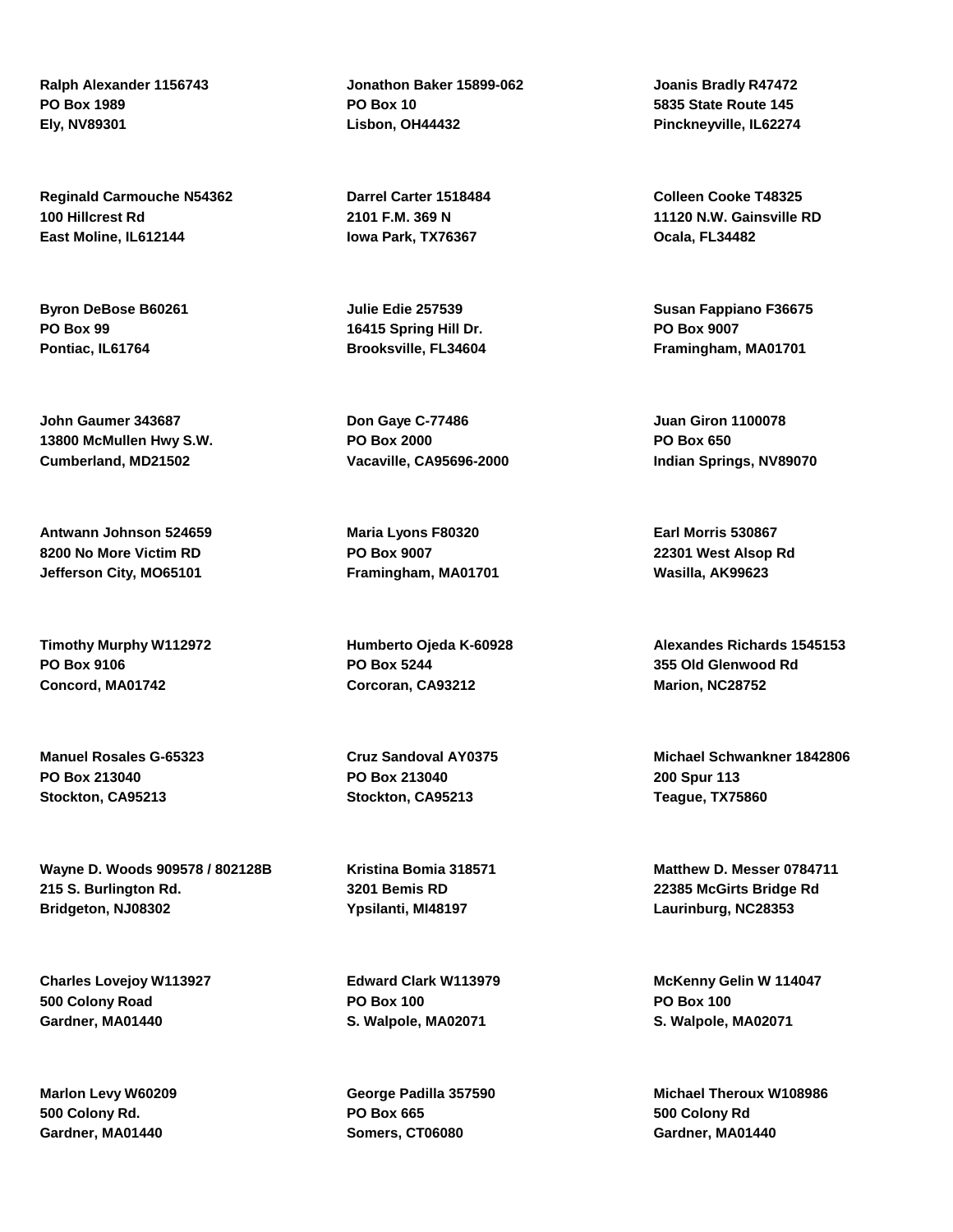**Ralph Alexander 1156743 PO Box 1989 Ely, NV89301**

**Reginald Carmouche N54362 100 Hillcrest Rd East Moline, IL612144**

**Byron DeBose B60261 PO Box 99 Pontiac, IL61764**

**John Gaumer 343687 13800 McMullen Hwy S.W. Cumberland, MD21502**

**Antwann Johnson 524659 8200 No More Victim RD Jefferson City, MO65101**

**Timothy Murphy W112972 PO Box 9106 Concord, MA01742**

**Manuel Rosales G-65323 PO Box 213040 Stockton, CA95213**

**Wayne D. Woods 909578 / 802128B 215 S. Burlington Rd. Bridgeton, NJ08302**

**Charles Lovejoy W113927 500 Colony Road Gardner, MA01440**

**Marlon Levy W60209 500 Colony Rd. Gardner, MA01440**

**Jonathon Baker 15899-062 PO Box 10 Lisbon, OH44432**

**Darrel Carter 1518484 2101 F.M. 369 N Iowa Park, TX76367**

**Julie Edie 257539 16415 Spring Hill Dr. Brooksville, FL34604**

**Don Gaye C-77486 PO Box 2000 Vacaville, CA95696-2000**

**Maria Lyons F80320 PO Box 9007 Framingham, MA01701**

**Humberto Ojeda K-60928 PO Box 5244 Corcoran, CA93212**

**Cruz Sandoval AY0375 PO Box 213040 Stockton, CA95213**

**Kristina Bomia 318571 3201 Bemis RD Ypsilanti, MI48197**

**Edward Clark W113979 PO Box 100 S. Walpole, MA02071**

**George Padilla 357590 PO Box 665 Somers, CT06080**

**Joanis Bradly R47472 5835 State Route 145 Pinckneyville, IL62274**

**Colleen Cooke T48325 11120 N.W. Gainsville RD Ocala, FL34482**

**Susan Fappiano F36675 PO Box 9007 Framingham, MA01701**

**Juan Giron 1100078 PO Box 650 Indian Springs, NV89070**

**Earl Morris 530867 22301 West Alsop Rd Wasilla, AK99623**

**Alexandes Richards 1545153 355 Old Glenwood Rd Marion, NC28752**

**Michael Schwankner 1842806 200 Spur 113 Teague, TX75860**

**Matthew D. Messer 0784711 22385 McGirts Bridge Rd Laurinburg, NC28353**

**McKenny Gelin W 114047 PO Box 100 S. Walpole, MA02071**

**Michael Theroux W108986 500 Colony Rd Gardner, MA01440**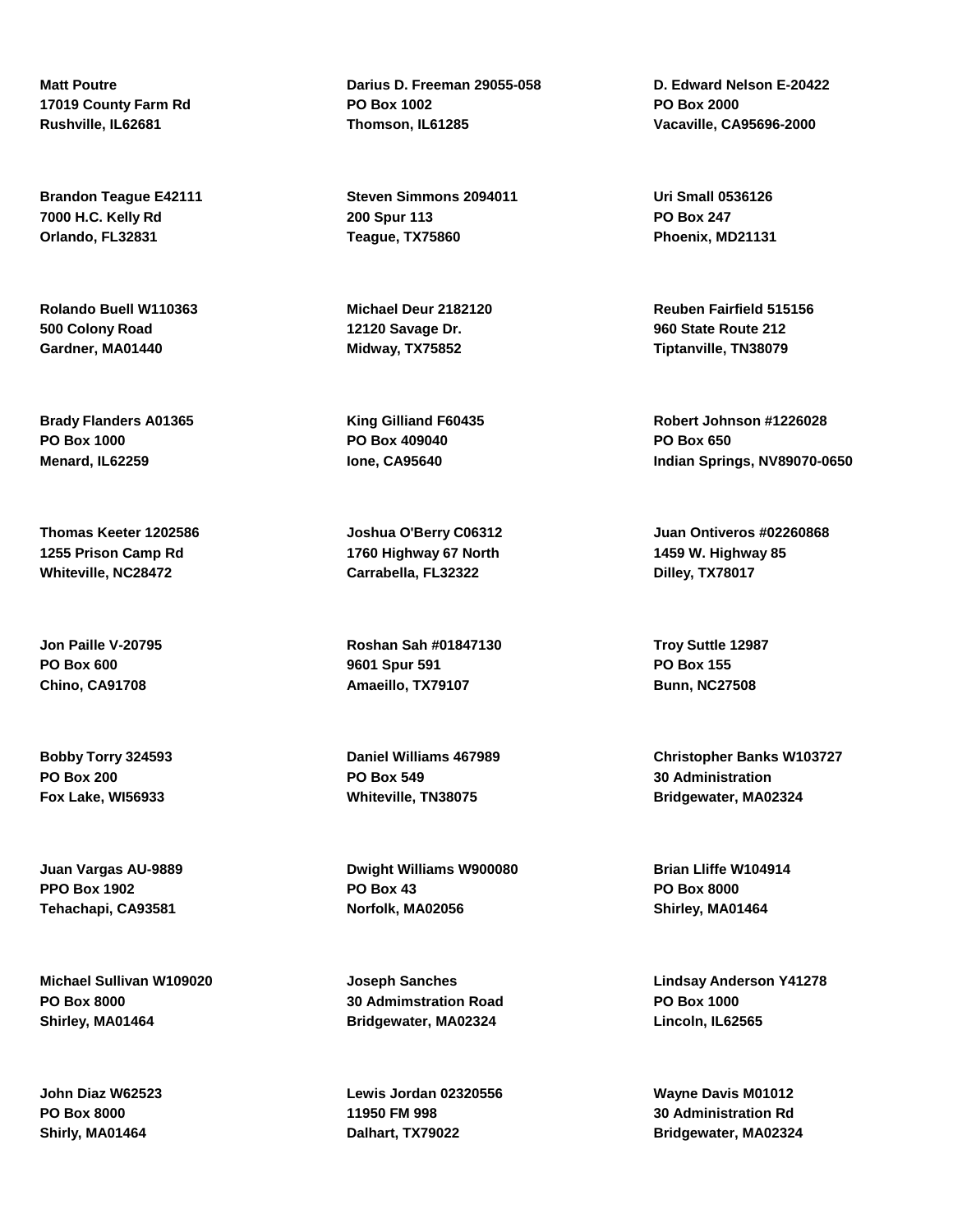**Matt Poutre 17019 County Farm Rd Rushville, IL62681**

**Brandon Teague E42111 7000 H.C. Kelly Rd Orlando, FL32831**

**Rolando Buell W110363 500 Colony Road Gardner, MA01440**

**Brady Flanders A01365 PO Box 1000 Menard, IL62259**

**Thomas Keeter 1202586 1255 Prison Camp Rd Whiteville, NC28472**

**Jon Paille V-20795 PO Box 600 Chino, CA91708**

**Bobby Torry 324593 PO Box 200 Fox Lake, WI56933**

**Juan Vargas AU-9889 PPO Box 1902 Tehachapi, CA93581**

**Michael Sullivan W109020 PO Box 8000 Shirley, MA01464**

**John Diaz W62523 PO Box 8000 Shirly, MA01464**

**Darius D. Freeman 29055-058 PO Box 1002 Thomson, IL61285**

**Steven Simmons 2094011 200 Spur 113 Teague, TX75860**

**Michael Deur 2182120 12120 Savage Dr. Midway, TX75852**

**King Gilliand F60435 PO Box 409040 Ione, CA95640**

**Joshua O'Berry C06312 1760 Highway 67 North Carrabella, FL32322**

**Roshan Sah #01847130 9601 Spur 591 Amaeillo, TX79107**

**Daniel Williams 467989 PO Box 549 Whiteville, TN38075**

**Dwight Williams W900080 PO Box 43 Norfolk, MA02056**

**Joseph Sanches 30 Admimstration Road Bridgewater, MA02324**

**Lewis Jordan 02320556 11950 FM 998 Dalhart, TX79022**

**D. Edward Nelson E-20422 PO Box 2000 Vacaville, CA95696-2000**

**Uri Small 0536126 PO Box 247 Phoenix, MD21131**

**Reuben Fairfield 515156 960 State Route 212 Tiptanville, TN38079**

**Robert Johnson #1226028 PO Box 650 Indian Springs, NV89070-0650**

**Juan Ontiveros #02260868 1459 W. Highway 85 Dilley, TX78017**

**Troy Suttle 12987 PO Box 155 Bunn, NC27508**

**Christopher Banks W103727 30 Administration Bridgewater, MA02324**

**Brian Lliffe W104914 PO Box 8000 Shirley, MA01464**

**Lindsay Anderson Y41278 PO Box 1000 Lincoln, IL62565**

**Wayne Davis M01012 30 Administration Rd Bridgewater, MA02324**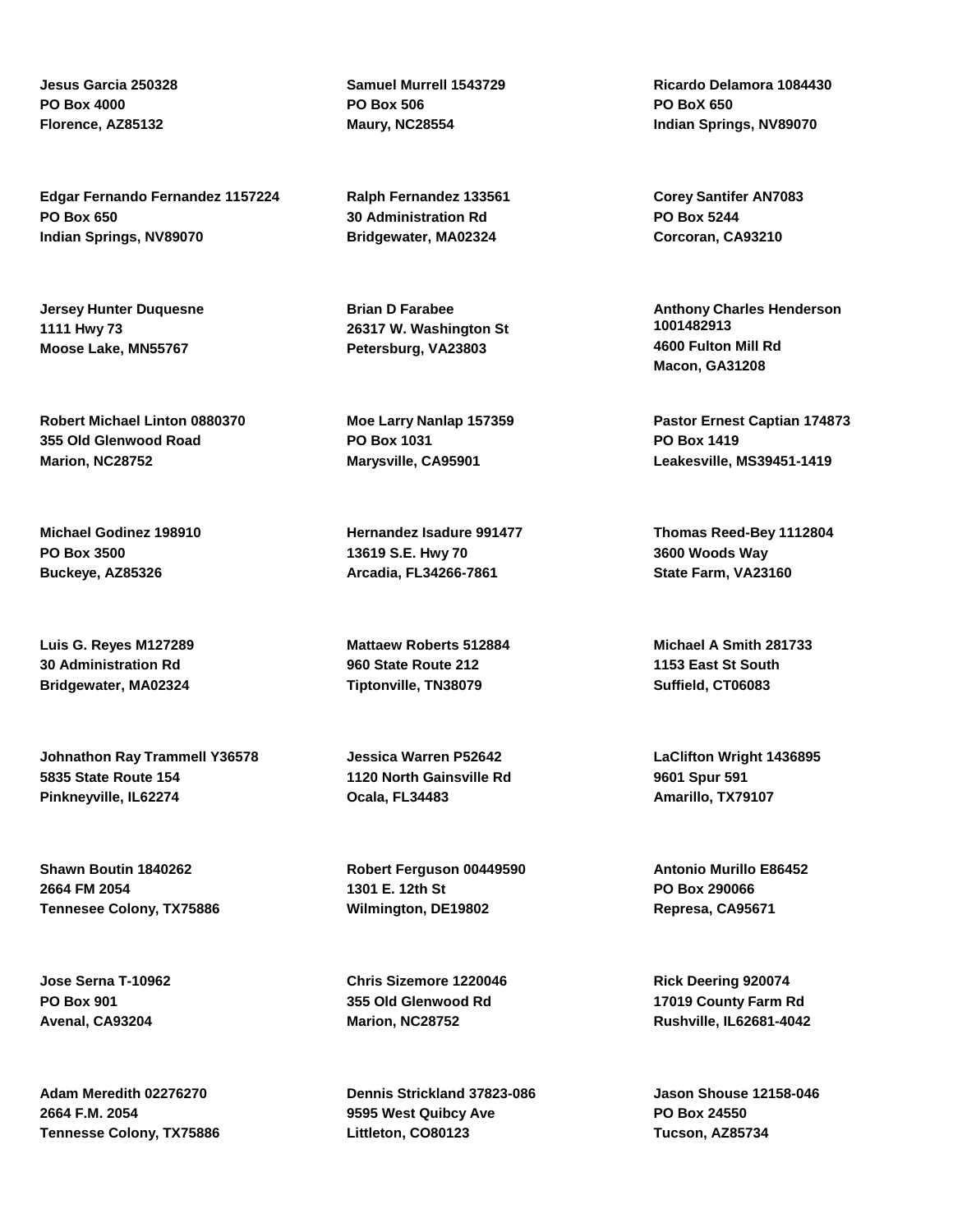**Jesus Garcia 250328 PO Box 4000 Florence, AZ85132**

**Edgar Fernando Fernandez 1157224 PO Box 650 Indian Springs, NV89070**

**Jersey Hunter Duquesne 1111 Hwy 73 Moose Lake, MN55767**

**Robert Michael Linton 0880370 355 Old Glenwood Road Marion, NC28752**

**Michael Godinez 198910 PO Box 3500 Buckeye, AZ85326**

**Luis G. Reyes M127289 30 Administration Rd Bridgewater, MA02324**

**Johnathon Ray Trammell Y36578 5835 State Route 154 Pinkneyville, IL62274**

**Shawn Boutin 1840262 2664 FM 2054 Tennesee Colony, TX75886**

**Jose Serna T-10962 PO Box 901 Avenal, CA93204**

**Adam Meredith 02276270 2664 F.M. 2054 Tennesse Colony, TX75886** **Samuel Murrell 1543729 PO Box 506 Maury, NC28554**

**Ralph Fernandez 133561 30 Administration Rd Bridgewater, MA02324**

**Brian D Farabee 26317 W. Washington St Petersburg, VA23803**

**Moe Larry Nanlap 157359 PO Box 1031 Marysville, CA95901**

**Hernandez Isadure 991477 13619 S.E. Hwy 70 Arcadia, FL34266-7861**

**Mattaew Roberts 512884 960 State Route 212 Tiptonville, TN38079**

**Jessica Warren P52642 1120 North Gainsville Rd Ocala, FL34483**

**Robert Ferguson 00449590 1301 E. 12th St Wilmington, DE19802**

**Chris Sizemore 1220046 355 Old Glenwood Rd Marion, NC28752**

**Dennis Strickland 37823-086 9595 West Quibcy Ave Littleton, CO80123**

**Ricardo Delamora 1084430 PO BoX 650 Indian Springs, NV89070**

**Corey Santifer AN7083 PO Box 5244 Corcoran, CA93210**

**Anthony Charles Henderson 1001482913 4600 Fulton Mill Rd Macon, GA31208**

**Pastor Ernest Captian 174873 PO Box 1419 Leakesville, MS39451-1419**

**Thomas Reed-Bey 1112804 3600 Woods Way State Farm, VA23160**

**Michael A Smith 281733 1153 East St South Suffield, CT06083**

**LaClifton Wright 1436895 9601 Spur 591 Amarillo, TX79107**

**Antonio Murillo E86452 PO Box 290066 Represa, CA95671**

**Rick Deering 920074 17019 County Farm Rd Rushville, IL62681-4042**

**Jason Shouse 12158-046 PO Box 24550 Tucson, AZ85734**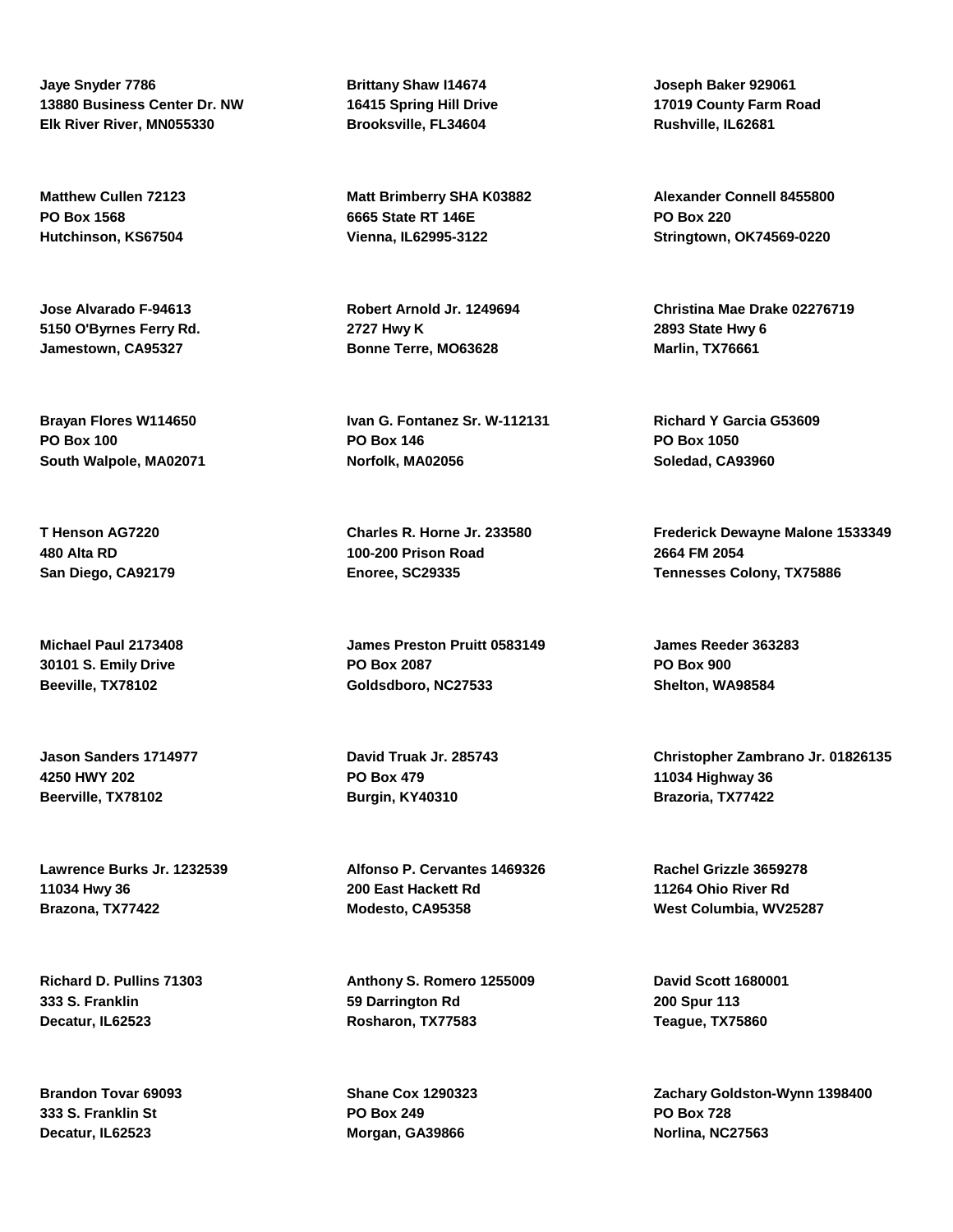**Jaye Snyder 7786 13880 Business Center Dr. NW Elk River River, MN055330**

**Matthew Cullen 72123 PO Box 1568 Hutchinson, KS67504**

**Jose Alvarado F-94613 5150 O'Byrnes Ferry Rd. Jamestown, CA95327**

**Brayan Flores W114650 PO Box 100 South Walpole, MA02071**

**T Henson AG7220 480 Alta RD San Diego, CA92179**

**Michael Paul 2173408 30101 S. Emily Drive Beeville, TX78102**

**Jason Sanders 1714977 4250 HWY 202 Beerville, TX78102**

**Lawrence Burks Jr. 1232539 11034 Hwy 36 Brazona, TX77422**

**Richard D. Pullins 71303 333 S. Franklin Decatur, IL62523**

**Brandon Tovar 69093 333 S. Franklin St Decatur, IL62523**

**Brittany Shaw I14674 16415 Spring Hill Drive Brooksville, FL34604**

**Matt Brimberry SHA K03882 6665 State RT 146E Vienna, IL62995-3122**

**Robert Arnold Jr. 1249694 2727 Hwy K Bonne Terre, MO63628**

**Ivan G. Fontanez Sr. W-112131 PO Box 146 Norfolk, MA02056**

**Charles R. Horne Jr. 233580 100-200 Prison Road Enoree, SC29335**

**James Preston Pruitt 0583149 PO Box 2087 Goldsdboro, NC27533**

**David Truak Jr. 285743 PO Box 479 Burgin, KY40310**

**Alfonso P. Cervantes 1469326 200 East Hackett Rd Modesto, CA95358**

**Anthony S. Romero 1255009 59 Darrington Rd Rosharon, TX77583**

**Shane Cox 1290323 PO Box 249 Morgan, GA39866**

**Joseph Baker 929061 17019 County Farm Road Rushville, IL62681**

**Alexander Connell 8455800 PO Box 220 Stringtown, OK74569-0220**

**Christina Mae Drake 02276719 2893 State Hwy 6 Marlin, TX76661**

**Richard Y Garcia G53609 PO Box 1050 Soledad, CA93960**

**Frederick Dewayne Malone 1533349 2664 FM 2054 Tennesses Colony, TX75886**

**James Reeder 363283 PO Box 900 Shelton, WA98584**

**Christopher Zambrano Jr. 01826135 11034 Highway 36 Brazoria, TX77422**

**Rachel Grizzle 3659278 11264 Ohio River Rd West Columbia, WV25287**

**David Scott 1680001 200 Spur 113 Teague, TX75860**

**Zachary Goldston-Wynn 1398400 PO Box 728 Norlina, NC27563**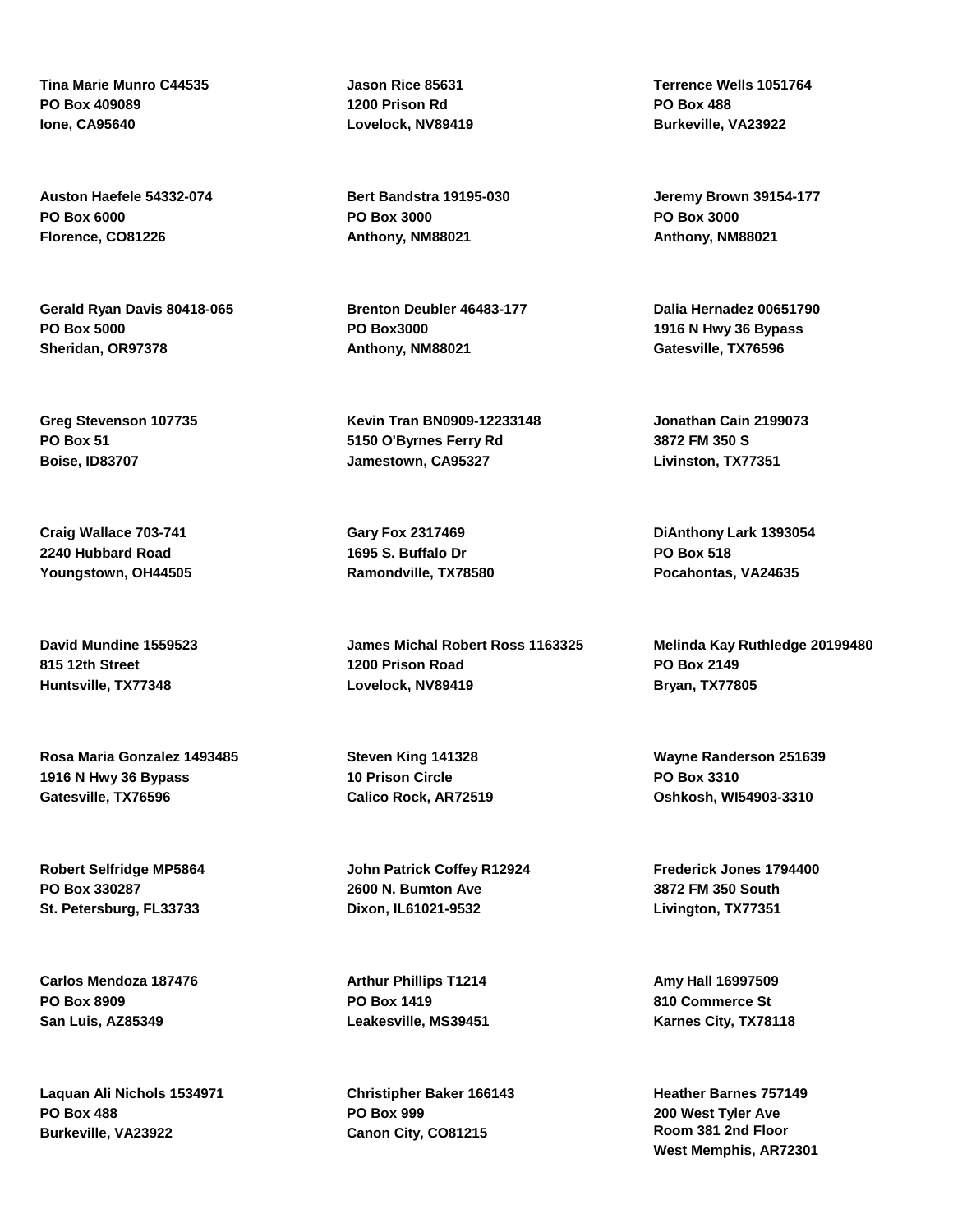**Tina Marie Munro C44535 PO Box 409089 Ione, CA95640**

**Auston Haefele 54332-074 PO Box 6000 Florence, CO81226**

**Gerald Ryan Davis 80418-065 PO Box 5000 Sheridan, OR97378**

**Greg Stevenson 107735 PO Box 51 Boise, ID83707**

**Craig Wallace 703-741 2240 Hubbard Road Youngstown, OH44505**

**David Mundine 1559523 815 12th Street Huntsville, TX77348**

**Rosa Maria Gonzalez 1493485 1916 N Hwy 36 Bypass Gatesville, TX76596**

**Robert Selfridge MP5864 PO Box 330287 St. Petersburg, FL33733**

**Carlos Mendoza 187476 PO Box 8909 San Luis, AZ85349**

**Laquan Ali Nichols 1534971 PO Box 488 Burkeville, VA23922**

**Jason Rice 85631 1200 Prison Rd Lovelock, NV89419**

**Bert Bandstra 19195-030 PO Box 3000 Anthony, NM88021**

**Brenton Deubler 46483-177 PO Box3000 Anthony, NM88021**

**Kevin Tran BN0909-12233148 5150 O'Byrnes Ferry Rd Jamestown, CA95327**

**Gary Fox 2317469 1695 S. Buffalo Dr Ramondville, TX78580**

**James Michal Robert Ross 1163325 1200 Prison Road Lovelock, NV89419**

**Steven King 141328 10 Prison Circle Calico Rock, AR72519**

**John Patrick Coffey R12924 2600 N. Bumton Ave Dixon, IL61021-9532**

**Arthur Phillips T1214 PO Box 1419 Leakesville, MS39451**

**Christipher Baker 166143 PO Box 999 Canon City, CO81215**

**Terrence Wells 1051764 PO Box 488 Burkeville, VA23922**

**Jeremy Brown 39154-177 PO Box 3000 Anthony, NM88021**

**Dalia Hernadez 00651790 1916 N Hwy 36 Bypass Gatesville, TX76596**

**Jonathan Cain 2199073 3872 FM 350 S Livinston, TX77351**

**DiAnthony Lark 1393054 PO Box 518 Pocahontas, VA24635**

**Melinda Kay Ruthledge 20199480 PO Box 2149 Bryan, TX77805**

**Wayne Randerson 251639 PO Box 3310 Oshkosh, WI54903-3310**

**Frederick Jones 1794400 3872 FM 350 South Livington, TX77351**

**Amy Hall 16997509 810 Commerce St Karnes City, TX78118**

**Heather Barnes 757149 200 West Tyler Ave Room 381 2nd Floor West Memphis, AR72301**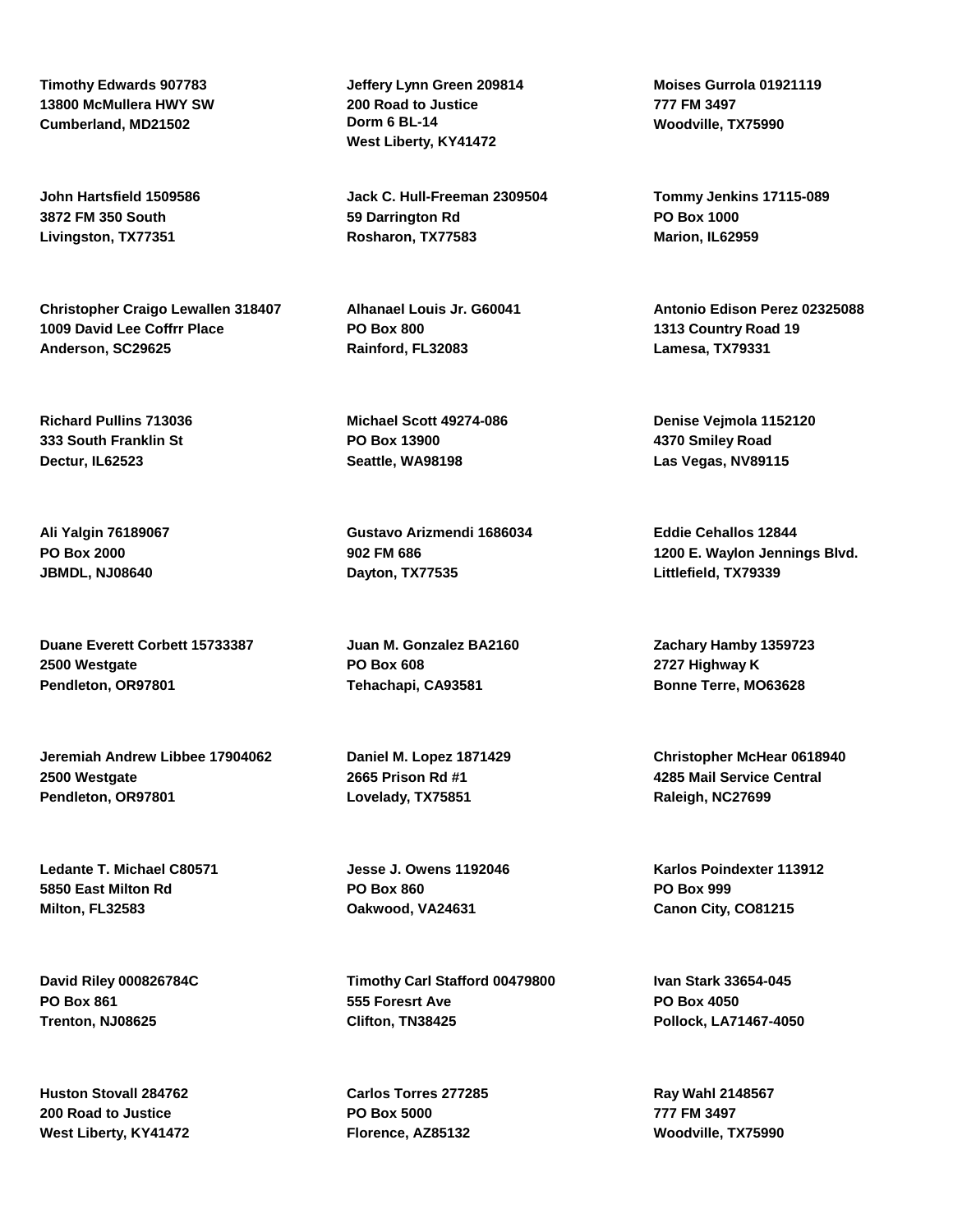**Timothy Edwards 907783 13800 McMullera HWY SW Cumberland, MD21502**

**John Hartsfield 1509586 3872 FM 350 South Livingston, TX77351**

**Christopher Craigo Lewallen 318407 1009 David Lee Coffrr Place Anderson, SC29625**

**Richard Pullins 713036 333 South Franklin St Dectur, IL62523**

**Ali Yalgin 76189067 PO Box 2000 JBMDL, NJ08640**

**Duane Everett Corbett 15733387 2500 Westgate Pendleton, OR97801**

**Jeremiah Andrew Libbee 17904062 2500 Westgate Pendleton, OR97801**

**Ledante T. Michael C80571 5850 East Milton Rd Milton, FL32583**

**David Riley 000826784C PO Box 861 Trenton, NJ08625**

**Huston Stovall 284762 200 Road to Justice West Liberty, KY41472** **Jeffery Lynn Green 209814 200 Road to Justice Dorm 6 BL-14 West Liberty, KY41472**

**Jack C. Hull-Freeman 2309504 59 Darrington Rd Rosharon, TX77583**

**Alhanael Louis Jr. G60041 PO Box 800 Rainford, FL32083**

**Michael Scott 49274-086 PO Box 13900 Seattle, WA98198**

**Gustavo Arizmendi 1686034 902 FM 686 Dayton, TX77535**

**Juan M. Gonzalez BA2160 PO Box 608 Tehachapi, CA93581**

**Daniel M. Lopez 1871429 2665 Prison Rd #1 Lovelady, TX75851**

**Jesse J. Owens 1192046 PO Box 860 Oakwood, VA24631**

**Timothy Carl Stafford 00479800 555 Foresrt Ave Clifton, TN38425**

**Carlos Torres 277285 PO Box 5000 Florence, AZ85132**

**Moises Gurrola 01921119 777 FM 3497 Woodville, TX75990**

**Tommy Jenkins 17115-089 PO Box 1000 Marion, IL62959**

**Antonio Edison Perez 02325088 1313 Country Road 19 Lamesa, TX79331**

**Denise Vejmola 1152120 4370 Smiley Road Las Vegas, NV89115**

**Eddie Cehallos 12844 1200 E. Waylon Jennings Blvd. Littlefield, TX79339**

**Zachary Hamby 1359723 2727 Highway K Bonne Terre, MO63628**

**Christopher McHear 0618940 4285 Mail Service Central Raleigh, NC27699**

**Karlos Poindexter 113912 PO Box 999 Canon City, CO81215**

**Ivan Stark 33654-045 PO Box 4050 Pollock, LA71467-4050**

**Ray Wahl 2148567 777 FM 3497 Woodville, TX75990**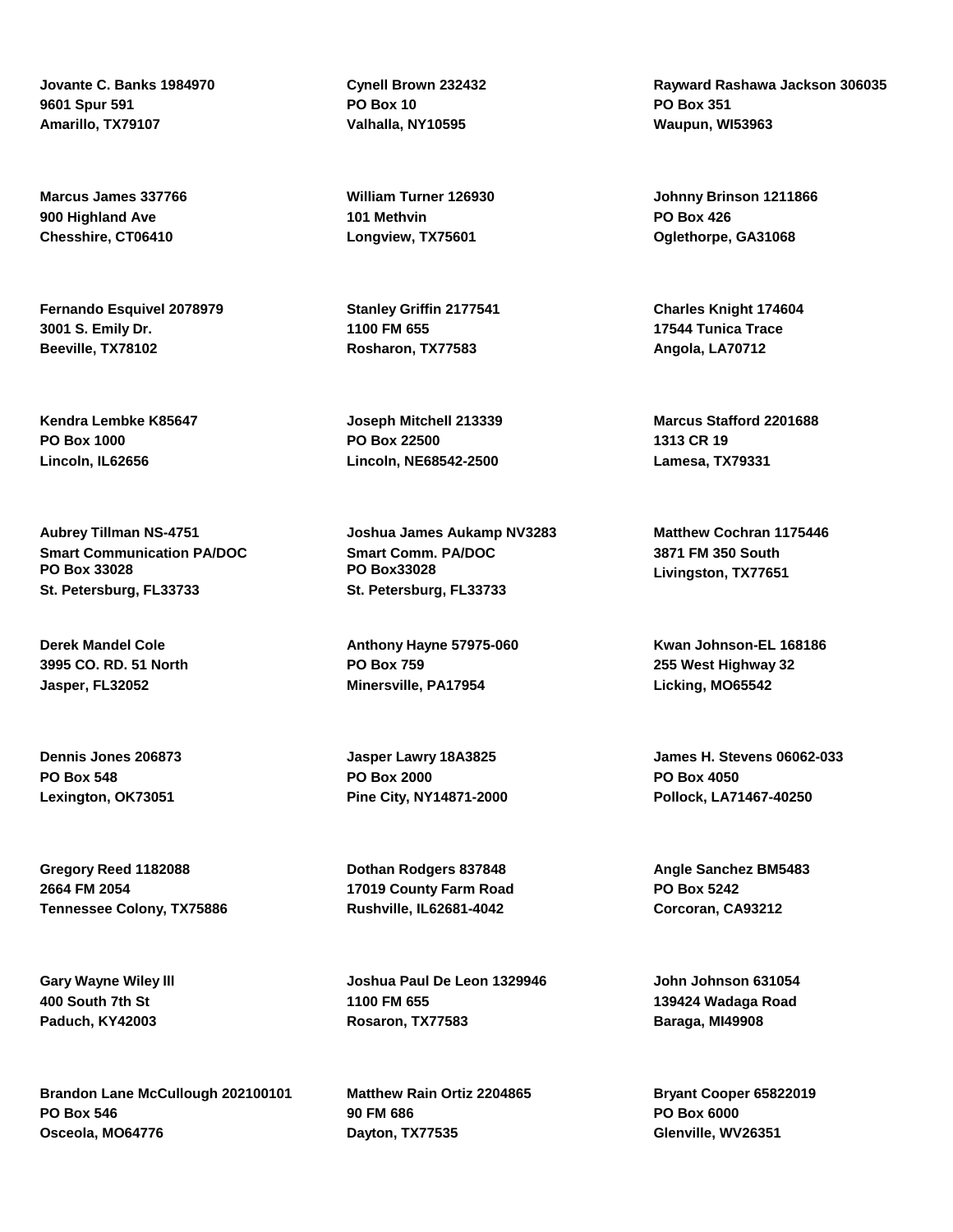**Jovante C. Banks 1984970 9601 Spur 591 Amarillo, TX79107**

**Marcus James 337766 900 Highland Ave Chesshire, CT06410**

**Fernando Esquivel 2078979 3001 S. Emily Dr. Beeville, TX78102**

**Kendra Lembke K85647 PO Box 1000 Lincoln, IL62656**

**Aubrey Tillman NS-4751 Smart Communication PA/DOC PO Box 33028 St. Petersburg, FL33733**

**Derek Mandel Cole 3995 CO. RD. 51 North Jasper, FL32052**

**Dennis Jones 206873 PO Box 548 Lexington, OK73051**

**Gregory Reed 1182088 2664 FM 2054 Tennessee Colony, TX75886**

**Gary Wayne Wiley lll 400 South 7th St Paduch, KY42003**

**Brandon Lane McCullough 202100101 PO Box 546 Osceola, MO64776**

**Cynell Brown 232432 PO Box 10 Valhalla, NY10595**

**William Turner 126930 101 Methvin Longview, TX75601**

**Stanley Griffin 2177541 1100 FM 655 Rosharon, TX77583**

**Joseph Mitchell 213339 PO Box 22500 Lincoln, NE68542-2500**

**Joshua James Aukamp NV3283 Smart Comm. PA/DOC PO Box33028 St. Petersburg, FL33733**

**Anthony Hayne 57975-060 PO Box 759 Minersville, PA17954**

**Jasper Lawry 18A3825 PO Box 2000 Pine City, NY14871-2000**

**Dothan Rodgers 837848 17019 County Farm Road Rushville, IL62681-4042**

**Joshua Paul De Leon 1329946 1100 FM 655 Rosaron, TX77583**

**Matthew Rain Ortiz 2204865 90 FM 686 Dayton, TX77535**

**Rayward Rashawa Jackson 306035 PO Box 351 Waupun, WI53963**

**Johnny Brinson 1211866 PO Box 426 Oglethorpe, GA31068**

**Charles Knight 174604 17544 Tunica Trace Angola, LA70712**

**Marcus Stafford 2201688 1313 CR 19 Lamesa, TX79331**

**Matthew Cochran 1175446 3871 FM 350 South Livingston, TX77651**

**Kwan Johnson-EL 168186 255 West Highway 32 Licking, MO65542**

**James H. Stevens 06062-033 PO Box 4050 Pollock, LA71467-40250**

**Angle Sanchez BM5483 PO Box 5242 Corcoran, CA93212**

**John Johnson 631054 139424 Wadaga Road Baraga, MI49908**

**Bryant Cooper 65822019 PO Box 6000 Glenville, WV26351**